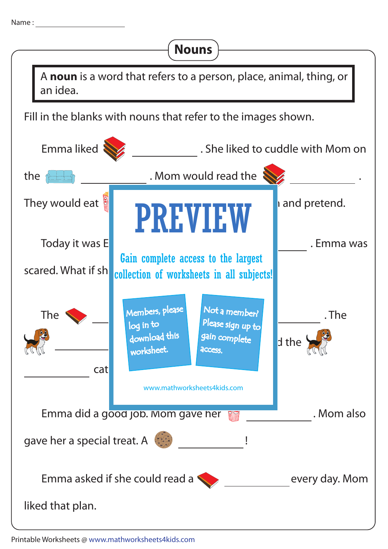